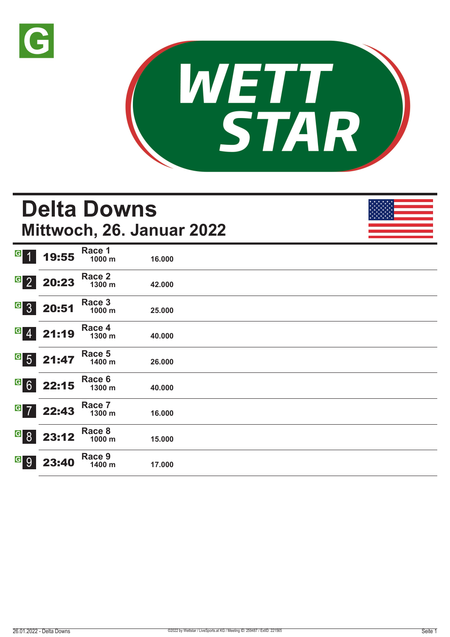



## **Delta Downs Mittwoch, 26. Januar 2022**

| G 1        | 19:55                                                                          | Race 1<br>1000 m | 16.000 |  |  |
|------------|--------------------------------------------------------------------------------|------------------|--------|--|--|
|            | $\begin{array}{ c c }\n \hline\n \text{G} & 2 & 20:23 \\ \hline\n \end{array}$ | Race 2<br>1300 m | 42.000 |  |  |
| $G_{3}$    | 20:51                                                                          | Race 3<br>1000 m | 25.000 |  |  |
| $G \ 4$    | 21:19                                                                          | Race 4<br>1300 m | 40.000 |  |  |
|            | $G$ 5 21:47                                                                    | Race 5<br>1400 m | 26.000 |  |  |
|            | $G$ 6 22:15                                                                    | Race 6<br>1300 m | 40.000 |  |  |
|            | $G$ 7 22:43                                                                    | Race 7<br>1300 m | 16.000 |  |  |
|            | 6823:12                                                                        | Race 8<br>1000 m | 15.000 |  |  |
| <u>a</u> 9 | 23:40                                                                          | Race 9<br>1400 m | 17.000 |  |  |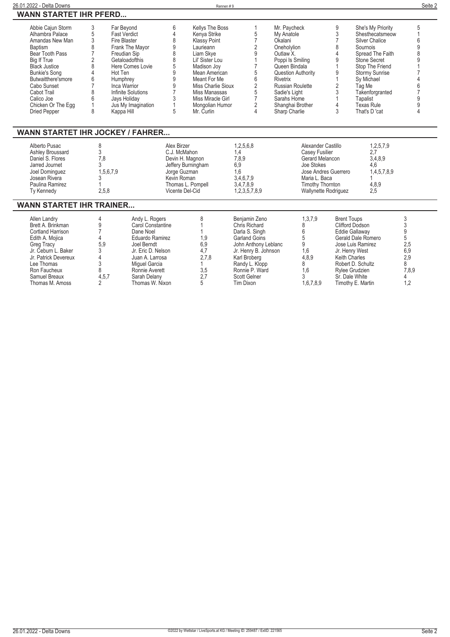| 26.01.2022 - Delta Downs                                                                                                                                                                                                                                                          |                                                                               |                                                                                                                                                                                                                                             |                                                                            | Rennen#9                                                                                                                                                                                                                                         |                                                                                                                                          |                                                                                                                                                                                                     |                                                                                                                   |                                                                                                                 |                                                                                                                                                                                                                                                        | Seite 2                               |
|-----------------------------------------------------------------------------------------------------------------------------------------------------------------------------------------------------------------------------------------------------------------------------------|-------------------------------------------------------------------------------|---------------------------------------------------------------------------------------------------------------------------------------------------------------------------------------------------------------------------------------------|----------------------------------------------------------------------------|--------------------------------------------------------------------------------------------------------------------------------------------------------------------------------------------------------------------------------------------------|------------------------------------------------------------------------------------------------------------------------------------------|-----------------------------------------------------------------------------------------------------------------------------------------------------------------------------------------------------|-------------------------------------------------------------------------------------------------------------------|-----------------------------------------------------------------------------------------------------------------|--------------------------------------------------------------------------------------------------------------------------------------------------------------------------------------------------------------------------------------------------------|---------------------------------------|
| <b>WANN STARTET IHR PFERD</b>                                                                                                                                                                                                                                                     |                                                                               |                                                                                                                                                                                                                                             |                                                                            |                                                                                                                                                                                                                                                  |                                                                                                                                          |                                                                                                                                                                                                     |                                                                                                                   |                                                                                                                 |                                                                                                                                                                                                                                                        |                                       |
| Abbie Cajun Storm<br>Alhambra Palace<br>Amandas New Man<br><b>Baptism</b><br>Bear Tooth Pass<br><b>Big If True</b><br><b>Black Justice</b><br><b>Bunkie's Song</b><br>Butwaitthere'smore<br>Cabo Sunset<br>Cabot Trail<br>Calico Joe<br>Chicken Or The Eqq<br><b>Dried Pepper</b> | 3<br>5<br>3<br>8<br>$\overline{7}$<br>$\overline{2}$<br>8<br>6<br>8<br>6<br>8 | Far Beyond<br><b>Fast Verdict</b><br>Fire Blaster<br>Frank The Mayor<br>Freudian Sip<br>Getaloadofthis<br>Here Comes Lovie<br>Hot Ten<br>Humphrey<br>Inca Warrior<br>Infinite Solutions<br>Jays Holiday<br>Jus My Imagination<br>Kappa Hill | 6<br>4<br>8<br>9<br>8<br>8<br>5<br>9<br>9<br>9<br>$\overline{7}$<br>3<br>5 | <b>Kellys The Boss</b><br>Kenya Strike<br>Klassy Point<br>Laurieann<br>Liam Skye<br>Lil' Sister Lou<br>Madison Joy<br>Mean American<br>Meant For Me<br>Miss Charlie Sioux<br>Miss Manassas<br>Miss Miracle Girl<br>Mongolian Humor<br>Mr. Curlin | 1<br>5<br>$\overline{7}$<br>$\overline{2}$<br>9<br>$\overline{7}$<br>5<br>6<br>$\sqrt{2}$<br>5<br>$\overline{7}$<br>$\overline{2}$<br>4  | Mr. Paycheck<br>My Anatole<br>Okalani<br>Oneholylion<br>Outlaw <sub>X</sub> .<br>Poppi Is Smiling<br>Queen Bindala<br>Rivetrix<br>Russian Roulette<br>Sadie's Light<br>Sarahs Home<br>Sharp Charlie | <b>Question Authority</b><br>Shanghai Brother                                                                     | 9<br>3<br>$\overline{7}$<br>8<br>4<br>9<br>9<br>2<br>3<br>4<br>3                                                | She's My Priority<br>Shesthecatsmeow<br><b>Silver Chalice</b><br>Sournois<br>Spread The Faith<br>Stone Secret<br>Stop The Friend<br><b>Stormy Sunrise</b><br>Sy Michael<br>Tag Me<br>Takenforgranted<br>Tapalist<br><b>Texas Rule</b><br>That's D 'cat | 5                                     |
| <b>WANN STARTET IHR JOCKEY / FAHRER</b>                                                                                                                                                                                                                                           |                                                                               |                                                                                                                                                                                                                                             |                                                                            |                                                                                                                                                                                                                                                  |                                                                                                                                          |                                                                                                                                                                                                     |                                                                                                                   |                                                                                                                 |                                                                                                                                                                                                                                                        |                                       |
| Alberto Pusac<br>Ashley Broussard<br>Daniel S. Flores<br>Jarred Journet<br>Joel Dominguez<br>Josean Rivera<br>Paulina Ramirez<br>Ty Kennedy                                                                                                                                       | 8<br>3<br>7,8<br>3<br>2,5,8                                                   | 1,5,6,7,9                                                                                                                                                                                                                                   | Alex Birzer<br>C.J. McMahon<br>Jorge Guzman<br>Kevin Roman                 | Devin H. Magnon<br>Jeffery Burningham<br>Thomas L. Pompell<br>Vicente Del-Cid                                                                                                                                                                    | 1,2,5,6,8<br>1,4<br>7,8,9<br>6,9<br>1.6<br>3,4,6,7,9<br>3,4,7,8,9<br>1,2,3,5,7,8,9                                                       |                                                                                                                                                                                                     | Alexander Castillo<br>Casey Fusilier<br>Gerard Melancon<br>Joe Stokes<br>Maria L. Baca<br><b>Timothy Thornton</b> | Jose Andres Guerrero<br><b>Wallynette Rodriguez</b>                                                             | 1,2,5,7,9<br>2.7<br>3,4,8,9<br>4,6<br>1,4,5,7,8,9<br>4,8,9<br>2,5                                                                                                                                                                                      |                                       |
| <b>WANN STARTET IHR TRAINER</b>                                                                                                                                                                                                                                                   |                                                                               |                                                                                                                                                                                                                                             |                                                                            |                                                                                                                                                                                                                                                  |                                                                                                                                          |                                                                                                                                                                                                     |                                                                                                                   |                                                                                                                 |                                                                                                                                                                                                                                                        |                                       |
| Allen Landry<br>Brett A. Brinkman<br>Cortland Harrison<br>Edith A. Mojica<br><b>Greg Tracy</b><br>Jr. Čeburn L. Baker<br>Jr. Patrick Devereux                                                                                                                                     | 4<br>9<br>$\overline{7}$<br>$\overline{A}$<br>5.9<br>3<br>4                   | Andy L. Rogers<br>Carol Constantine<br>Dane Noel<br>Eduardo Ramirez<br>Joel Berndt<br>Jr. Eric D. Nelson<br>Juan A. Larrosa                                                                                                                 |                                                                            | 8<br>1,9<br>6,9<br>4,7<br>2.7.8                                                                                                                                                                                                                  | Benjamin Zeno<br>Chris Richard<br>Darla S. Singh<br><b>Garland Goins</b><br>John Anthony Leblanc<br>Jr. Henry B. Johnson<br>Karl Broberg |                                                                                                                                                                                                     | 1,3,7,9<br>8<br>6<br>5<br>9<br>1.6<br>4.8.9                                                                       | <b>Brent Toups</b><br><b>Clifford Dodson</b><br><b>Eddie Gallaway</b><br>Jr. Henry West<br><b>Keith Charles</b> | Gerald Dale Romero<br>Jose Luis Ramirez                                                                                                                                                                                                                | 3<br>3<br>9<br>5<br>2,5<br>6,9<br>2.9 |

**Lee Thomas 3 Miguel Garcia 1 Randy L. Klopp 8 Robert D. Schultz 8 Ron Faucheux 8 Ronnie Averett 3,5 Ronnie P. Ward 1,6 Rylee Grudzien 7,8,9 Samuel Breaux 4,5,7 Sarah Delany 2,7 Scott Gelner 3 Sr. Dale White 4 Thomas M. Amoss 2 Thomas W. Nixon 5 Tim Dixon 1,6,7,8,9 Timothy E. Martin 1,2**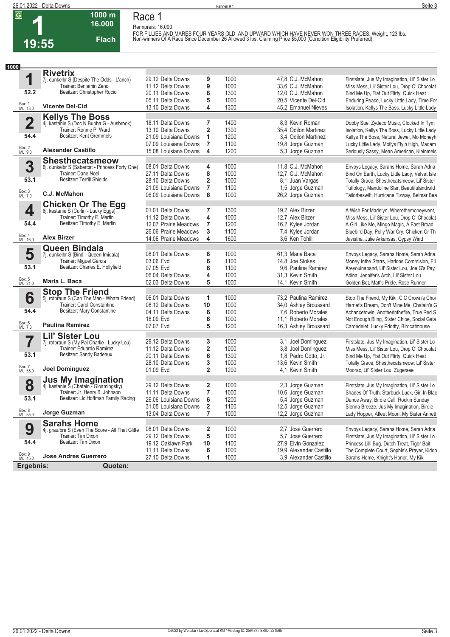**1**<br>1 **19:55**

## **Race 1 Rennpreis: 16.000**

**1000 m 16.000** 

**Flach**

FOR FILLIES AND MARES FOUR YEARS OLD AND UPWARD WHICH HAVE NEVER WON THREE RACES. Weight, 123 lbs.<br>Non-winners Of A Race Since December 26 Allowed 3 lbs. Claiming Price \$5,000 (Condition Eligibility Preferred).

| 1000                    |                                                                        |                                                |                              |              |                                       |                                                                                         |
|-------------------------|------------------------------------------------------------------------|------------------------------------------------|------------------------------|--------------|---------------------------------------|-----------------------------------------------------------------------------------------|
|                         | <b>Rivetrix</b>                                                        |                                                |                              |              |                                       |                                                                                         |
| 1                       | 7j. dunkelbr S (Despite The Odds - L'anch)                             | 29.12 Delta Downs                              | 9                            | 1000         | 47,8 C.J. McMahon                     | Firstslate, Jus My Imagination, Lil' Sister Lo                                          |
|                         | Trainer: Benjamin Zeno                                                 | 11.12 Delta Downs                              | 9                            | 1000         | 33,6 C.J. McMahon                     | Miss Mess, Lil' Sister Lou, Drop O' Chocolat                                            |
| 52.2                    | Besitzer: Christopher Rocio                                            | 20.11 Delta Downs                              | 8                            | 1300         | 12,0 C.J. McMahon                     | Bind Me Up, Flat Out Flirty, Quick Heat                                                 |
|                         |                                                                        | 05.11 Delta Downs                              | 5                            | 1000         | 20,5 Vicente Del-Cid                  | Enduring Peace, Lucky Little Lady, Time For                                             |
| Box: 1<br>ML: 13,0      | <b>Vicente Del-Cid</b>                                                 | 13.10 Delta Downs                              | 4                            | 1300         | 45,2 Emanuel Nieves                   | Isolation, Kellys The Boss, Lucky Little Lady                                           |
|                         | <b>Kellys The Boss</b>                                                 |                                                |                              |              |                                       |                                                                                         |
| $\overline{\mathbf{2}}$ | 4j. kastanie S (Doc N Bubba G - Ausbrook)                              | 18.11 Delta Downs                              | 7                            | 1400         | 8,3 Kevin Roman                       | Dobby Sue, Zydeco Music, Clocked In Tym                                                 |
|                         | Trainer: Ronnie P. Ward                                                | 13.10 Delta Downs                              | $\overline{\mathbf{2}}$      | 1300         | 35,4 Odilon Martinez                  | Isolation, Kellys The Boss, Lucky Little Lady                                           |
| 54.4                    | Besitzer: Kent Gremmels                                                | 21.09 Louisiana Downs                          | 1                            | 1200         | 3.4 Odilon Martinez                   | Kellys The Boss, Natural Jewel, Mo Moneyh                                               |
|                         |                                                                        | 07.09 Louisiana Downs                          | $\overline{7}$               | 1100         | 19,8 Jorge Guzman                     | Lucky Little Lady, Mollys Flyin High, Madam                                             |
| Box: 2<br>ML: 9,0       | <b>Alexander Castillo</b>                                              | 15.08 Louisiana Downs                          | 4                            | 1200         | 5.3 Jorge Guzman                      | Seriously Sassy, Mean American, Kleinmeis                                               |
|                         | <b>Shesthecatsmeow</b>                                                 |                                                |                              |              |                                       |                                                                                         |
| 3                       | 6j. dunkelbr S (Sabercat - Princess Forty One)                         | 08.01 Delta Downs                              | 4                            | 1000         | 11,8 C.J. McMahon                     | Envoys Legacy, Sarahs Home, Sarah Adria                                                 |
|                         | Trainer: Dane Noel                                                     | 27.11 Delta Downs                              | 8                            | 1000         | 12,7 C.J. McMahon                     | Bind On Earth, Lucky Little Lady, Velvet Isle                                           |
| 53.1                    | Besitzer: Terrill Shields                                              | 28.10 Delta Downs                              | 2                            | 1000         | 8,1 Juan Vargas                       | Totally Grace, Shesthecatsmeow, Lil' Sister                                             |
|                         |                                                                        | 21.09 Louisiana Downs                          | $\overline{7}$               | 1100         | 1,5 Jorge Guzman                      | Tuffology, Mandoline Star, Beautifulandwild                                             |
| Box: 3<br>ML: 7,0       | C.J. McMahon                                                           | 06.09 Louisiana Downs                          | 6                            | 1000         | 26,2 Jorge Guzman                     | Tailorbeswift, Hurricane Tizway, Belmar Bea                                             |
|                         | <b>Chicken Or The Egg</b>                                              |                                                |                              |              |                                       |                                                                                         |
| 4                       | 6j. kastanie S (Curlin - Lucky Eggs)                                   | 01.01 Delta Downs                              | 7                            | 1300         | 19,2 Alex Birzer                      | A Wish For Madelyn, Wherethemoneywent,                                                  |
|                         | Trainer: Timothy E. Martin                                             | 11.12 Delta Downs                              | 4                            | 1000         | 12.7 Alex Birzer                      | Miss Mess, Lil' Sister Lou, Drop O' Chocolat                                            |
| 54.4                    | Besitzer: Timothy E. Martin                                            | 12.07 Prairie Meadows                          | $\overline{7}$               | 1200         | 16,2 Kylee Jordan                     | A Girl Like Me, Mingo Magic, A Fast Broad                                               |
|                         |                                                                        | 26.06 Prairie Meadows                          | 3                            | 1100         | 7,4 Kylee Jordan                      | Bluebird Day, Polly War Cry, Chicken Or Th                                              |
| Box: 4<br>ML: 16,0      | <b>Alex Birzer</b>                                                     | 14.06 Prairie Meadows                          | 4                            | 1600         | 3.6 Ken Tohill                        | Javistha, Julie Arkansas, Gypsy Wind                                                    |
|                         | <b>Queen Bindala</b>                                                   |                                                |                              |              |                                       |                                                                                         |
| 5                       | 7j. dunkelbr S (Bind - Queen Imidala)                                  | 08.01 Delta Downs                              | 8                            | 1000         | 61,3 Maria Baca                       | Envoys Legacy, Sarahs Home, Sarah Adria                                                 |
|                         | Trainer: Miguel Garcia                                                 | 03.06 Evd                                      | 6                            | 1100         | 14,8 Joe Stokes                       | Money Inthe Starrs, Harlons Commision, Ell                                              |
| 53.1                    | Besitzer: Charles E. Hollyfield                                        | 07.05 Evd                                      | 6                            | 1100         | 9.6 Paulina Ramirez                   | Areyouinaband, Lil' Sister Lou, Joe G's Pay                                             |
|                         |                                                                        | 06.04 Delta Downs                              | 4                            | 1000         | 31,3 Kevin Smith                      | Adina, Jennifer's Arch, Lil' Sister Lou                                                 |
| Box: 5<br>ML: 21,0      | Maria L. Baca                                                          | 02.03 Delta Downs                              | 5                            | 1000         | 14,1 Kevin Smith                      | Golden Bet, Matt's Pride, Rose Runner                                                   |
|                         | <b>Stop The Friend</b>                                                 |                                                |                              |              |                                       |                                                                                         |
| 6                       | 5j. rotbraun S (Can The Man - Whata Friend)                            | 06.01 Delta Downs                              | 1                            | 1000         | 73,2 Paulina Ramirez                  | Stop The Friend, My Kiki, C C Crown's Choi                                              |
|                         | Trainer: Carol Constantine                                             | 08.12 Delta Downs                              | 10                           | 1000         | 34,0 Ashley Broussard                 | Harriet's Dream, Don't Mine Me, Chatain's G                                             |
| 54.4                    | Besitzer: Mary Constantine                                             | 04.11 Delta Downs                              | 6                            | 1000         | 7.6 Roberto Morales                   | Achancetowin, Anotherinthefire, True Red S                                              |
| Box: 6<br>ML: 7,0       | <b>Paulina Ramirez</b>                                                 | 18.09 Evd                                      | 6                            | 1000         | 11,1 Roberto Morales                  | Not Enough Bling, Sister Chloe, Social Gala                                             |
|                         |                                                                        | 07.07 Evd                                      | 5                            | 1200         | 16,3 Ashley Broussard                 | Carondelet, Lucky Priority, Birdcatmouse                                                |
|                         | <b>Lil' Sister Lou</b>                                                 |                                                |                              |              |                                       |                                                                                         |
| 7                       | 7j. rotbraun S (My Pal Charlie - Lucky Lou)                            | 29.12 Delta Downs                              | 3                            | 1000         | 3,1 Joel Dominguez                    | Firstslate, Jus My Imagination, Lil' Sister Lo                                          |
| 53.1                    | Trainer: Eduardo Ramirez<br>Besitzer: Sandy Badeaux                    | 11.12 Delta Downs                              | 2                            | 1000         | 3,8 Joel Dominguez                    | Miss Mess, Lil' Sister Lou, Drop O' Chocolat                                            |
|                         |                                                                        | 20.11 Delta Downs                              | 6                            | 1300         | 1,8 Pedro Cotto, Jr.                  | Bind Me Up, Flat Out Flirty, Quick Heat                                                 |
| Box: 7<br>ML: 55,0      | Joel Dominguez                                                         | 28.10 Delta Downs                              | 3<br>$\overline{2}$          | 1000         | 13,6 Kevin Smith                      | Totally Grace, Shesthecatsmeow, Lil' Sister                                             |
|                         |                                                                        | 01.09 Evd                                      |                              | 1200         | 4.1 Kevin Smith                       | Moorac, Lil' Sister Lou, Zugersee                                                       |
|                         | <b>Jus My Imagination</b><br>4j. kastanie S (Chatain - Gloamingsky)    |                                                |                              |              |                                       |                                                                                         |
| 8                       | Trainer: Jr. Henry B. Johnson                                          | 29.12 Delta Downs                              | 2<br>$\overline{7}$          | 1000<br>1000 | 2,3 Jorge Guzman                      | Firstslate, Jus My Imagination, Lil' Sister Lo                                          |
| 53.1                    | Besitzer: Llc Hoffman Family Racing                                    | 11.11 Delta Downs                              |                              |              | 10,6 Jorge Guzman                     | Shades Of Truth, Starbuck Luck, Girl In Blac                                            |
|                         |                                                                        | 26.06 Louisiana Downs<br>31.05 Louisiana Downs | 6                            | 1200         | 5,4 Jorge Guzman<br>12,5 Jorge Guzman | Dance Away, Birdie Call, Rockin Sunday                                                  |
| Box: 8<br>ML: 35,0      | Jorge Guzman                                                           | 13.04 Delta Downs                              | $\overline{\mathbf{2}}$<br>7 | 1100<br>1000 | 12,2 Jorge Guzman                     | Sienna Breeze, Jus My Imagination, Birdie<br>Lady Hopper, Afleet Moon, My Sister Annett |
|                         |                                                                        |                                                |                              |              |                                       |                                                                                         |
| 9                       | <b>Sarahs Home</b>                                                     | 08.01 Delta Downs                              |                              | 1000         | 2,7 Jose Guerrero                     | Envoys Legacy, Sarahs Home, Sarah Adria                                                 |
|                         | 4j. grau/bra S (Even The Score - All That Glitte<br>Trainer: Tim Dixon | 29.12 Delta Downs                              | $\mathbf 2$<br>5             | 1000         | 5,7 Jose Guerrero                     | Firstslate, Jus My Imagination, Lil' Sister Lo                                          |
| 54.4                    | Besitzer: Tim Dixon                                                    | 19.12 Oaklawn Park                             | 10                           | 1100         | 27,9 Elvin Gonzalez                   | Princess Lilli Bug, Dutch Treat, Tiger Bait                                             |
|                         |                                                                        | 11.11 Delta Downs                              | 6                            | 1000         | 19.9 Alexander Castillo               | The Complete Court, Sophie's Prayer, Kiddo                                              |
| Box: 9<br>ML: 45,0      | <b>Jose Andres Guerrero</b>                                            | 27.10 Delta Downs                              | 1                            | 1000         | 3,9 Alexander Castillo                | Sarahs Home, Knight's Honor, My Kiki                                                    |
|                         |                                                                        |                                                |                              |              |                                       |                                                                                         |
| Ergebnis:               | Quoten:                                                                |                                                |                              |              |                                       |                                                                                         |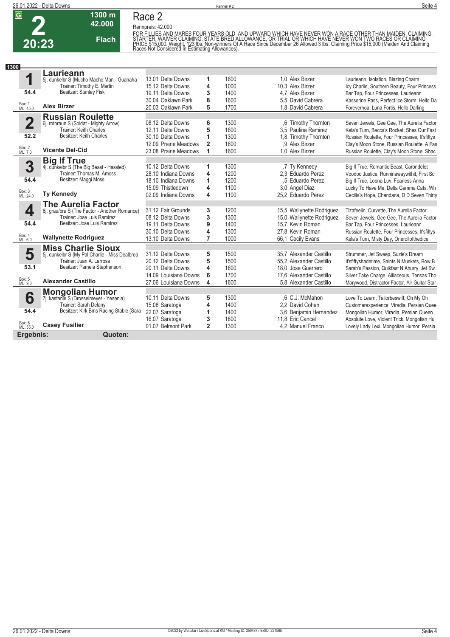

## **Race 2**

**1300 m 42.000** 

**Flach**

**Rennpreis: 42.000**

FOR FILLIES AND MARES FOUR YEARS OLD. AND UPWARD WHICH HAVE NEVER WON A RACE OTHER THAN MAIDEN, CLAIMING,<br>STARTER, WAIVER CLAIMING, STATE BRED ALLOWANCE, OR TRIAL OR WHICH HAVE NEVER WON TWO RACES OR CLAIMING<br>PRICE \$15,000

| 1300                    |                                                                  |                       |                |      |                           |                                               |
|-------------------------|------------------------------------------------------------------|-----------------------|----------------|------|---------------------------|-----------------------------------------------|
|                         | -aurieann                                                        |                       |                |      |                           |                                               |
| 1                       | 5j. dunkelbr S (Mucho Macho Man - Guanaha                        | 13.01 Delta Downs     | 1              | 1600 | 1.0 Alex Birzer           | Laurieann, Isolation, Blazing Charm           |
|                         | Trainer: Timothy E. Martin                                       | 15.12 Delta Downs     | 4              | 1000 | 10.3 Alex Birzer          | Icy Charlie, Southern Beauty, Four Princess   |
| 54.4                    | Besitzer: Stanley Fisk                                           | 19.11 Delta Downs     | 3              | 1400 | 4.7 Alex Birzer           | Bar Tap, Four Princesses, Laurieann           |
|                         |                                                                  | 30.04 Oaklawn Park    | 8              | 1600 | 5.5 David Cabrera         | Kasserine Pass, Perfect Ice Storm, Hello Da   |
| Box: 1<br>ML: 45,0      | <b>Alex Birzer</b>                                               | 20.03 Oaklawn Park    | 5              | 1700 | 1.8 David Cabrera         | Forevernoa, Luna Fortis, Hello Darling        |
|                         |                                                                  |                       |                |      |                           |                                               |
| $\overline{\mathbf{2}}$ | <b>Russian Roulette</b>                                          | 08.12 Delta Downs     | 6              | 1300 | ,6 Timothy Thornton       | Seven Jewels, Gee Gee, The Aurelia Factor     |
|                         | 6j. rotbraun S (Soldat - Mighty Arrow)<br>Trainer: Keith Charles | 12.11 Delta Downs     | 5              | 1600 | 3.5 Paulina Ramirez       | Kela's Turn. Becca's Rocket. Shes Our Fast    |
| 52.2                    | Besitzer: Keith Charles                                          | 30.10 Delta Downs     | 1              | 1300 | 1.8 Timothy Thornton      | Russian Roulette, Four Princesses, It'sfiftys |
|                         |                                                                  | 12.09 Prairie Meadows | $\overline{2}$ | 1600 | .9 Alex Birzer            | Clay's Moon Stone, Russian Roulette, A Fas    |
| Box: 2<br>ML: 7,0       | <b>Vicente Del-Cid</b>                                           | 23.08 Prairie Meadows | 1              | 1600 | 1.0 Alex Birzer           |                                               |
|                         |                                                                  |                       |                |      |                           | Russian Roulette, Clay's Moon Stone, Shac     |
|                         | <b>Big If True</b>                                               |                       |                |      |                           |                                               |
| 3                       | 4j. dunkelbr S (The Big Beast - Hassled)                         | 10.12 Delta Downs     | 1              | 1300 | .7 Ty Kennedy             | Big If True, Romantic Beast, Carondelet       |
|                         | Trainer: Thomas M. Amoss                                         | 28.10 Indiana Downs   | 4              | 1200 | 2.3 Eduardo Perez         | Voodoo Justice, Runninawaywithit, First Sq    |
| 54.4                    | Besitzer: Maggi Moss                                             | 18.10 Indiana Downs   | 1              | 1200 | .5 Eduardo Perez          | Big If True, Loona Luv, Fearless Anna         |
|                         |                                                                  | 15.09 Thistledown     | 4              | 1100 | 3.0 Angel Diaz            | Lucky To Have Me, Delta Gamma Cats, Wh        |
| Box: 3<br>ML: 24,0      | <b>Ty Kennedy</b>                                                | 02.09 Indiana Downs   | 4              | 1100 | 25.2 Eduardo Perez        | Cecilia's Hope, Chandana, D D Seven Thirty    |
|                         | <b>The Aurelia Factor</b>                                        |                       |                |      |                           |                                               |
| 4                       | 6j. grau/bra S (The Factor - Another Romance)                    | 31.12 Fair Grounds    | 3              | 1200 | 15,5 Wallynette Rodriguez | Tizafeelin, Curvette, The Aurelia Factor      |
|                         | Trainer: Jose Luis Ramirez                                       | 08.12 Delta Downs     | 3              | 1300 | 15,0 Wallynette Rodriguez | Seven Jewels, Gee Gee, The Aurelia Factor     |
| 54.4                    | Besitzer: Jose Luis Ramirez                                      | 19.11 Delta Downs     | 9              | 1400 | 15.7 Kevin Roman          | Bar Tap, Four Princesses, Laurieann           |
|                         |                                                                  | 30.10 Delta Downs     | 4              | 1300 | 27,8 Kevin Roman          | Russian Roulette, Four Princesses, It'sfiftys |
| Box: 4<br>ML: 6.0       | <b>Wallynette Rodriguez</b>                                      | 13.10 Delta Downs     | $\overline{7}$ | 1000 | 66,1 Cecily Evans         | Kela's Turn, Misty Day, Onerollofthedice      |
|                         | <b>Miss Charlie Sioux</b>                                        |                       |                |      |                           |                                               |
| 5                       | 5j. dunkelbr S (My Pal Charlie - Miss Dealbrea                   | 31.12 Delta Downs     | 5              | 1500 | 35.7 Alexander Castillo   | Strummer, Jet Sweep, Suzie's Dream            |
|                         | Trainer: Juan A. Larrosa                                         | 20.12 Delta Downs     | 5              | 1500 | 55.2 Alexander Castillo   | It'sfiftyshadetime, Saints N Muskets, Bow B   |
| 53.1                    | Besitzer: Pamela Stephenson                                      | 20.11 Delta Downs     | 4              | 1600 | 18.0 Jose Guerrero        | Sarah's Passion, Quikfast N Ahurry, Jet Sw    |
|                         |                                                                  | 14.09 Louisiana Downs | 6              | 1700 | 17,6 Alexander Castillo   | Silver Take Charge, Alliaceous, Tensas Tho    |
| Box: 5<br>ML: 9,0       | <b>Alexander Castillo</b>                                        | 27.06 Louisiana Downs | 4              | 1600 | 5.8 Alexander Castillo    | Marywood, Distractor Factor, Air Guitar Star  |
|                         | <b>Mongolian Humor</b>                                           |                       |                |      |                           |                                               |
| 6                       | 7j. kastanie S (Drosselmeyer - Yesenia)                          | 10.11 Delta Downs     | 5              | 1300 | .6 C.J. McMahon           | Love To Learn, Tailorbeswift, Oh My Oh        |
|                         | Trainer: Sarah Delany                                            | 15.08 Saratoga        | 4              | 1400 | 2,2 David Cohen           | Customerexperience, Viradia, Persian Quee     |
| 54.4                    | Besitzer: Kirk Bms Racing Stable (Sara                           | 22.07 Saratoga        | 1              | 1400 | 3,6 Benjamin Hernandez    | Mongolian Humor, Viradia, Persian Queen       |
|                         |                                                                  | 16.07 Saratoga        | 3              | 1800 | 11.8 Eric Cancel          | Absolute Love, Violent Trick, Mongolian Hu    |
| Box: 6<br>ML: 55,0      | <b>Casey Fusilier</b>                                            | 01.07 Belmont Park    | $\overline{2}$ | 1300 | 4,2 Manuel Franco         | Lovely Lady Lexi, Mongolian Humor, Persia     |
| Ergebnis:               | Quoten:                                                          |                       |                |      |                           |                                               |
|                         |                                                                  |                       |                |      |                           |                                               |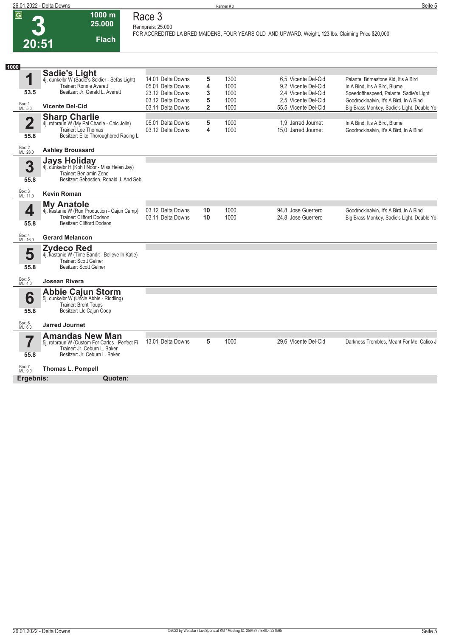| 26.01.2022 - Delta Downs |         | Seite 5 |
|--------------------------|---------|---------|
|                          | Rennen# |         |

#### **Race 3 Rennpreis: 25.000**

**1000 m 25.000** 

**Flach**

**FOR ACCREDITED LA BRED MAIDENS, FOUR YEARS OLD AND UPWARD. Weight, 123 lbs. Claiming Price \$20,000.** 

| 1000                            |                                                                                                                                           |                                        |                |              |                                            |                                                                                       |
|---------------------------------|-------------------------------------------------------------------------------------------------------------------------------------------|----------------------------------------|----------------|--------------|--------------------------------------------|---------------------------------------------------------------------------------------|
| 1                               | <b>Sadie's Light</b><br>4j. dunkelbr W (Sadie's Soldier - Sefas Light)<br>Trainer: Ronnie Averett                                         | 14.01 Delta Downs<br>05.01 Delta Downs | 5<br>4         | 1300<br>1000 | 6.5 Vicente Del-Cid<br>9.2 Vicente Del-Cid | Palante, Brimestone Kid, It's A Bird<br>In A Bind, It's A Bird, Blume                 |
| 53.5                            | Besitzer: Jr. Gerald L. Averett                                                                                                           | 23.12 Delta Downs<br>03.12 Delta Downs | 3<br>5         | 1000<br>1000 | 2.4 Vicente Del-Cid<br>2,5 Vicente Del-Cid | Speedofthespeed, Palante, Sadie's Light<br>Goodrockinalvin, It's A Bird, In A Bind    |
| Box: 1<br>ML: 5,0               | <b>Vicente Del-Cid</b>                                                                                                                    | 03.11 Delta Downs                      | $\overline{2}$ | 1000         | 55.5 Vicente Del-Cid                       | Big Brass Monkey, Sadie's Light, Double Yo                                            |
| $\overline{\mathbf{2}}$<br>55.8 | <b>Sharp Charlie</b><br>4j. rotbraun W (My Pal Charlie - Chic Jolie)<br>Trainer: Lee Thomas<br>Besitzer: Elite Thoroughbred Racing Ll     | 05.01 Delta Downs<br>03.12 Delta Downs | 5<br>4         | 1000<br>1000 | 1.9 Jarred Journet<br>15.0 Jarred Journet  | In A Bind, It's A Bird, Blume<br>Goodrockinalvin, It's A Bird, In A Bind              |
| Box: 2<br>ML: 28,0              | <b>Ashley Broussard</b>                                                                                                                   |                                        |                |              |                                            |                                                                                       |
| 3<br>55.8                       | <b>Jays Holiday</b><br>4j. dunkelbr H (Koh I Noor - Miss Helen Jay)<br>Trainer: Benjamin Zeno<br>Besitzer: Sebastien, Ronald J. And Seb   |                                        |                |              |                                            |                                                                                       |
| Box: 3<br>ML: 11,0              | <b>Kevin Roman</b>                                                                                                                        |                                        |                |              |                                            |                                                                                       |
| 4<br>55.8                       | <b>My Anatole</b><br>4j. kastanie W (Run Production - Cajun Camp)<br>Trainer: Clifford Dodson<br>Besitzer: Clifford Dodson                | 03.12 Delta Downs<br>03.11 Delta Downs | 10<br>10       | 1000<br>1000 | 94.8 Jose Guerrero<br>24.8 Jose Guerrero   | Goodrockinalvin, It's A Bird, In A Bind<br>Big Brass Monkey, Sadie's Light, Double Yo |
| Box: 4<br>ML: 16,0              | <b>Gerard Melancon</b>                                                                                                                    |                                        |                |              |                                            |                                                                                       |
| 5<br>55.8                       | <b>Zydeco Red</b><br>4j. kastanie W (Time Bandit - Believe In Katie)<br>Trainer: Scott Gelner<br>Besitzer: Scott Gelner                   |                                        |                |              |                                            |                                                                                       |
| Box: 5<br>ML: 4,0               | <b>Josean Rivera</b>                                                                                                                      |                                        |                |              |                                            |                                                                                       |
| 6<br>55.8                       | <b>Abbie Cajun Storm</b><br>5j. dunkelbr W (Uncle Abbie - Riddling)<br><b>Trainer: Brent Toups</b><br>Besitzer: Llc Cajun Coop            |                                        |                |              |                                            |                                                                                       |
| Box: 6<br>ML: 6,0               | <b>Jarred Journet</b>                                                                                                                     |                                        |                |              |                                            |                                                                                       |
| 55.8                            | <b>Amandas New Man</b><br>5j. rotbraun W (Custom For Carlos - Perfect Fi<br>Trainer: Jr. Ceburn L. Baker<br>Besitzer: Jr. Ceburn L. Baker | 13.01 Delta Downs                      | 5              | 1000         | 29,6 Vicente Del-Cid                       | Darkness Trembles, Meant For Me, Calico J                                             |
| Box: 7<br>ML: 9,0               | <b>Thomas L. Pompell</b>                                                                                                                  |                                        |                |              |                                            |                                                                                       |
| Ergebnis:                       | Quoten:                                                                                                                                   |                                        |                |              |                                            |                                                                                       |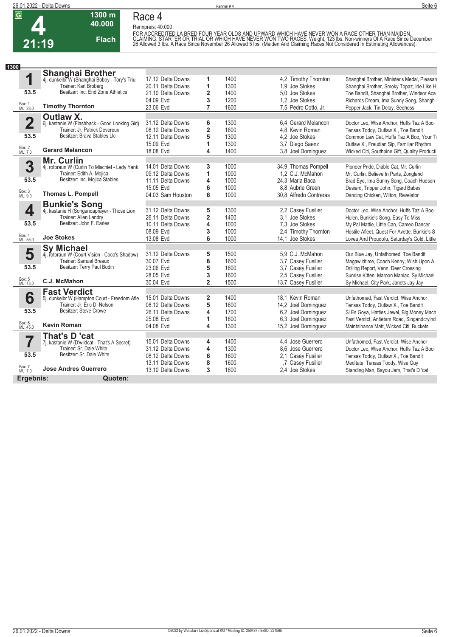

## **Race 4**

**1300 m 40.000** 

**Flach**

**Rennpreis: 40.000**



FOR ACCREDITED LA BRED FOUR YEAR OLDS AND UPWARD WHICH HAVE NEVER WON A RACE OTHER THAN MAIDEN.<br>CLAIMING, STARTER OR TRIAL OR WHICH HAVE NEVER WON TWO RACES. Weight, 123 Ibs. Non-winners Of A Race Since December<br>26 Allowed

| 1300                    |                                                |                   |                         |      |                        |                                               |
|-------------------------|------------------------------------------------|-------------------|-------------------------|------|------------------------|-----------------------------------------------|
|                         | <b>Shanghai Brother</b>                        |                   |                         |      |                        |                                               |
| 1                       | 4j. dunkelbr W (Shanghai Bobby - Tory's Triu   | 17.12 Delta Downs | 1                       | 1400 | 4.2 Timothy Thornton   | Shanghai Brother, Minister's Medal, Pleasan   |
|                         | Trainer: Karl Broberg                          | 20.11 Delta Downs | 1                       | 1300 | 1.9 Joe Stokes         | Shanghai Brother, Smoky Topaz, Ide Like H     |
| 53.5                    | Besitzer: Inc. End Zone Athletics              | 21.10 Delta Downs | $\overline{\mathbf{2}}$ | 1400 | 5.0 Joe Stokes         | Toe Bandit, Shanghai Brother, Windsor Aca     |
|                         |                                                | 04.09 Evd         | 3                       | 1200 | 1,2 Joe Stokes         | Richards Dream, Ima Sunny Song, Shangh        |
| Box: 1<br>ML: 28,0      | <b>Timothy Thornton</b>                        | 23.06 Evd         | 7                       | 1600 | 7,5 Pedro Cotto, Jr.   | Pepper Jack, Tin Delay, Seehoss               |
|                         | <b>Outlaw X.</b>                               |                   |                         |      |                        |                                               |
| $\overline{\mathbf{2}}$ | 6j. kastanie W (Flashback - Good Looking Girl) | 31.12 Delta Downs | 6                       | 1300 | 6.4 Gerard Melancon    | Doctor Leo, Wise Anchor, Huffs Taz A Boo      |
|                         | Trainer: Jr. Patrick Devereux                  | 08.12 Delta Downs | $\overline{\mathbf{2}}$ | 1600 | 4.8 Kevin Roman        | Tensas Toddy, Outlaw X., Toe Bandit           |
| 53.5                    | Besitzer: Brava Stables Llc                    | 12.11 Delta Downs | 5                       | 1300 | 4.2 Joe Stokes         | Common Law Cat, Huffs Taz A Boo, Your Ti      |
|                         |                                                | 15.09 Evd         | 1                       | 1300 | 3,7 Diego Saenz        | Outlaw X., Freudian Sip, Familiar Rhythm      |
| Box: 2<br>ML: 7,0       | <b>Gerard Melancon</b>                         | 18.08 Evd         | 4                       | 1400 | 3.8 Joel Dominguez     | Wicked Citi, Southpine Gift, Quality Producti |
|                         | Mr. Curlin                                     |                   |                         |      |                        |                                               |
| 3                       | 4j. rotbraun W (Curlin To Mischief - Lady Yank | 14.01 Delta Downs | 3                       | 1000 | 34,9 Thomas Pompell    | Pioneer Pride, Diablo Cat, Mr. Curlin         |
|                         | Trainer: Edith A. Mojica                       | 09.12 Delta Downs | 1                       | 1000 | 1,2 C.J. McMahon       | Mr. Curlin, Believe In Parts, Zongland        |
| 53.5                    | Besitzer: Inc. Mojica Stables                  | 11.11 Delta Downs | 4                       | 1000 | 24.3 Maria Baca        | Brad Eye, Ima Sunny Song, Coach Hudson        |
|                         |                                                | 15.05 Evd         | 6                       | 1000 | 8.8 Aubrie Green       | Desiard, Tripper John, Tigard Babes           |
| Box: 3<br>ML: 9,0       | <b>Thomas L. Pompell</b>                       | 04.03 Sam Houston | 6                       | 1000 | 30.8 Alfredo Contreras | Dancing Chicken, Wilton, Revelator            |
|                         | <b>Bunkie's Song</b>                           |                   |                         |      |                        |                                               |
| 4                       | 4j. kastanie H (Songandaprayer - Those Lion    | 31.12 Delta Downs | 5                       | 1300 | 2.2 Casey Fusilier     | Doctor Leo, Wise Anchor, Huffs Taz A Boo      |
|                         | Trainer: Allen Landry                          | 26.11 Delta Downs | $\overline{\mathbf{2}}$ | 1400 | 3.1 Joe Stokes         | Hulen, Bunkie's Song, Easy To Miss            |
| 53.5                    | Besitzer: John F. Earles                       | 10.11 Delta Downs | 4                       | 1000 | 7.3 Joe Stokes         | My Pal Mattie, Little Can, Cameo Dancer       |
|                         |                                                | 08.09 Evd         | 3                       | 1000 | 2,4 Timothy Thornton   | Hostile Afleet, Quest For Avette, Bunkie's S  |
| Box: 4<br>ML: 55,0      | <b>Joe Stokes</b>                              | 13.08 Evd         | 6                       | 1000 | 14.1 Joe Stokes        | Loveu And Proudofu, Saturday's Gold, Little   |
|                         | <b>Sy Michael</b>                              |                   |                         |      |                        |                                               |
| 5                       | 4j. rotbraun W (Court Vision - Coco's Shadow)  | 31.12 Delta Downs | 5                       | 1500 | 5,9 C.J. McMahon       | Our Blue Jay, Unfathomed, Toe Bandit          |
|                         | Trainer: Samuel Breaux                         | 30.07 Evd         | 8                       | 1600 | 3.7 Casey Fusilier     | Magawildtime, Coach Kenny, Wish Upon A        |
| 53.5                    | Besitzer: Terry Paul Bodin                     | 23.06 Evd         | 5                       | 1600 | 3.7 Casey Fusilier     | Drilling Report, Venn, Deer Crossing          |
|                         |                                                | 28.05 Evd         | 3                       | 1600 | 2,5 Casey Fusilier     | Sunrise Kitten, Maroon Maniac, Sy Michael     |
| Box: 5<br>ML: 13,0      | C.J. McMahon                                   | 30.04 Evd         | $\overline{2}$          | 1500 | 13,7 Casey Fusilier    | Sy Michael, City Park, Janets Jay Jay         |
|                         | <b>Fast Verdict</b>                            |                   |                         |      |                        |                                               |
| 6                       | 5j. dunkelbr W (Hampton Court - Freedom Afle   | 15.01 Delta Downs | $\overline{\mathbf{2}}$ | 1400 | 18.1 Kevin Roman       | Unfathomed, Fast Verdict, Wise Anchor         |
|                         | Trainer: Jr. Eric D. Nelson                    | 08.12 Delta Downs | 5                       | 1600 | 14,2 Joel Dominguez    | Tensas Toddy, Outlaw X., Toe Bandit           |
| 53.5                    | Besitzer: Steve Crowe                          | 26.11 Delta Downs | 4                       | 1700 | 6.2 Joel Dominguez     | Si Es Goya, Hatties Jewel, Big Money Mach     |
|                         |                                                | 25.08 Evd         | 1                       | 1600 | 6,3 Joel Dominguez     | Fast Verdict, Antietam Road, Singandcryind    |
| Box: 6<br>ML: 45,0      | <b>Kevin Roman</b>                             | 04.08 Evd         | $\overline{\mathbf{4}}$ | 1300 | 15,2 Joel Dominguez    | Maintainance Matt, Wicked Citi, Buckets       |
|                         | That's D 'cat                                  |                   |                         |      |                        |                                               |
| 7                       | 7j. kastanie W (D'wildcat - That's A Secret)   | 15.01 Delta Downs | 4                       | 1400 | 4.4 Jose Guerrero      | Unfathomed, Fast Verdict, Wise Anchor         |
|                         | Trainer: Sr. Dale White                        | 31.12 Delta Downs | 4                       | 1300 | 8.6 Jose Guerrero      | Doctor Leo, Wise Anchor, Huffs Taz A Boo      |
| 53.5                    | Besitzer: Sr. Dale White                       | 08.12 Delta Downs | 6                       | 1600 | 2,1 Casey Fusilier     | Tensas Toddy, Outlaw X., Toe Bandit           |
|                         |                                                | 13.11 Delta Downs | 8                       | 1600 | .7 Casey Fusilier      | Meditate, Tensas Toddy, Wise Guy              |
| Box: 7<br>ML: 7,0       | <b>Jose Andres Guerrero</b>                    | 13.10 Delta Downs | 3                       | 1600 | 2.4 Joe Stokes         | Standing Man, Bayou Jam, That's D 'cat        |
| Ergebnis:               | Quoten:                                        |                   |                         |      |                        |                                               |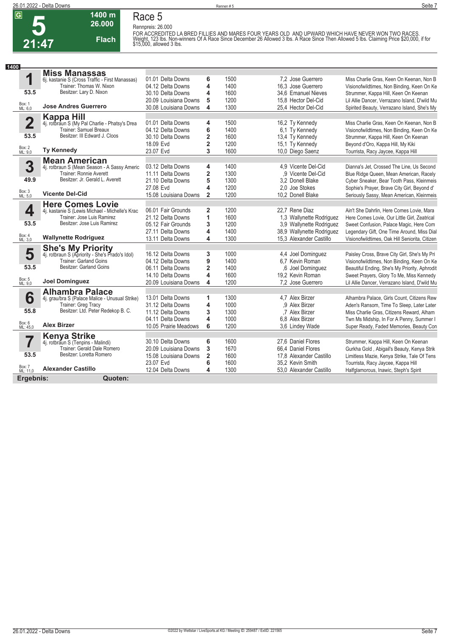**5**



**Race 5 Rennpreis: 26.000**

#### **21:47 1400 m 26.000 Flach**

FOR ACCREDITED LA BRED FILLIES AND MARES FOUR YEARS OLD AND UPWARD WHICH HAVE NEVER WON TWO RACES.<br>Weight, 123 Ibs. Non-winners Of A Race Since December 26 Allowed 3 Ibs. A Race Since Then Allowed 5 Ibs. Claiming Price \$2

| 1400<br><b>Miss Manassas</b><br>1<br>01.01 Delta Downs<br>1500<br>7.2 Jose Guerrero<br>6<br>Miss Charlie Gras, Keen On Keenan, Non B<br>6j. kastanie S (Cross Traffic - First Manassas)<br>Trainer: Thomas W. Nixon<br>4<br>04.12 Delta Downs<br>1400<br>16.3 Jose Guerrero<br>Visionofwildtimes, Non Binding, Keen On Ke<br>Besitzer: Lary D. Nixon<br>53.5<br>4<br>1600<br>30.10 Delta Downs<br>34.6 Emanuel Nieves<br>Strummer, Kappa Hill, Keen On Keenan<br>5<br>1200<br>15.8 Hector Del-Cid<br>20.09 Louisiana Downs<br>Lil Allie Dancer, Verrazano Island, D'wild Mu<br>Box: 1<br>ML: 6,0<br><b>Jose Andres Guerrero</b><br>4<br>1300<br>25.4 Hector Del-Cid<br>30.08 Louisiana Downs<br>Spirited Beauty, Verrazano Island, She's My<br><b>Kappa Hill</b><br>$\overline{\mathbf{2}}$<br>01.01 Delta Downs<br>1500<br>16,2 Ty Kennedy<br>4<br>Miss Charlie Gras, Keen On Keenan, Non B<br>4j. rotbraun S (My Pal Charlie - Phatsy's Drea<br>Trainer: Samuel Breaux<br>6<br>1400<br>04.12 Delta Downs<br>6,1 Ty Kennedy<br>Visionofwildtimes, Non Binding, Keen On Ke<br>Besitzer: III Edward J. Cloos<br>53.5<br>$\overline{2}$<br>30.10 Delta Downs<br>1600<br>13,4 Ty Kennedy<br>Strummer, Kappa Hill, Keen On Keenan<br>$\overline{\mathbf{2}}$<br>1200<br>15.1 Ty Kennedy<br>18.09 Evd<br>Beyond d'Oro, Kappa Hill, My Kiki |  |
|---------------------------------------------------------------------------------------------------------------------------------------------------------------------------------------------------------------------------------------------------------------------------------------------------------------------------------------------------------------------------------------------------------------------------------------------------------------------------------------------------------------------------------------------------------------------------------------------------------------------------------------------------------------------------------------------------------------------------------------------------------------------------------------------------------------------------------------------------------------------------------------------------------------------------------------------------------------------------------------------------------------------------------------------------------------------------------------------------------------------------------------------------------------------------------------------------------------------------------------------------------------------------------------------------------------------------------------|--|
|                                                                                                                                                                                                                                                                                                                                                                                                                                                                                                                                                                                                                                                                                                                                                                                                                                                                                                                                                                                                                                                                                                                                                                                                                                                                                                                                       |  |
|                                                                                                                                                                                                                                                                                                                                                                                                                                                                                                                                                                                                                                                                                                                                                                                                                                                                                                                                                                                                                                                                                                                                                                                                                                                                                                                                       |  |
|                                                                                                                                                                                                                                                                                                                                                                                                                                                                                                                                                                                                                                                                                                                                                                                                                                                                                                                                                                                                                                                                                                                                                                                                                                                                                                                                       |  |
|                                                                                                                                                                                                                                                                                                                                                                                                                                                                                                                                                                                                                                                                                                                                                                                                                                                                                                                                                                                                                                                                                                                                                                                                                                                                                                                                       |  |
|                                                                                                                                                                                                                                                                                                                                                                                                                                                                                                                                                                                                                                                                                                                                                                                                                                                                                                                                                                                                                                                                                                                                                                                                                                                                                                                                       |  |
|                                                                                                                                                                                                                                                                                                                                                                                                                                                                                                                                                                                                                                                                                                                                                                                                                                                                                                                                                                                                                                                                                                                                                                                                                                                                                                                                       |  |
|                                                                                                                                                                                                                                                                                                                                                                                                                                                                                                                                                                                                                                                                                                                                                                                                                                                                                                                                                                                                                                                                                                                                                                                                                                                                                                                                       |  |
|                                                                                                                                                                                                                                                                                                                                                                                                                                                                                                                                                                                                                                                                                                                                                                                                                                                                                                                                                                                                                                                                                                                                                                                                                                                                                                                                       |  |
|                                                                                                                                                                                                                                                                                                                                                                                                                                                                                                                                                                                                                                                                                                                                                                                                                                                                                                                                                                                                                                                                                                                                                                                                                                                                                                                                       |  |
|                                                                                                                                                                                                                                                                                                                                                                                                                                                                                                                                                                                                                                                                                                                                                                                                                                                                                                                                                                                                                                                                                                                                                                                                                                                                                                                                       |  |
|                                                                                                                                                                                                                                                                                                                                                                                                                                                                                                                                                                                                                                                                                                                                                                                                                                                                                                                                                                                                                                                                                                                                                                                                                                                                                                                                       |  |
| Box: 2<br>ML: 9,0<br><b>Ty Kennedy</b><br>3<br>23.07 Evd<br>1600<br>10,0 Diego Saenz<br>Tourrista, Racy Jaycee, Kappa Hill                                                                                                                                                                                                                                                                                                                                                                                                                                                                                                                                                                                                                                                                                                                                                                                                                                                                                                                                                                                                                                                                                                                                                                                                            |  |
| <b>Mean American</b>                                                                                                                                                                                                                                                                                                                                                                                                                                                                                                                                                                                                                                                                                                                                                                                                                                                                                                                                                                                                                                                                                                                                                                                                                                                                                                                  |  |
| 3<br>03.12 Delta Downs<br>4<br>1400<br>4.9 Vicente Del-Cid<br>Dianna's Jet. Crossed The Line. Us Second<br>4j. rotbraun S (Mean Season - A Sassy Americ                                                                                                                                                                                                                                                                                                                                                                                                                                                                                                                                                                                                                                                                                                                                                                                                                                                                                                                                                                                                                                                                                                                                                                               |  |
| $\overline{\mathbf{2}}$<br>1300<br>Trainer: Ronnie Averett<br>11.11 Delta Downs<br>,9 Vicente Del-Cid<br>Blue Ridge Queen, Mean American, Racely<br>Besitzer: Jr. Gerald L. Averett                                                                                                                                                                                                                                                                                                                                                                                                                                                                                                                                                                                                                                                                                                                                                                                                                                                                                                                                                                                                                                                                                                                                                   |  |
| 49.9<br>5<br>1300<br>21.10 Delta Downs<br>3.2 Donell Blake<br>Cyber Sneaker, Bear Tooth Pass, Kleinmeis                                                                                                                                                                                                                                                                                                                                                                                                                                                                                                                                                                                                                                                                                                                                                                                                                                                                                                                                                                                                                                                                                                                                                                                                                               |  |
| 4<br>27.08 Evd<br>1200<br>2.0 Joe Stokes<br>Sophie's Prayer, Brave City Girl, Beyond d'<br>Box: 3<br>ML: 5,0<br><b>Vicente Del-Cid</b>                                                                                                                                                                                                                                                                                                                                                                                                                                                                                                                                                                                                                                                                                                                                                                                                                                                                                                                                                                                                                                                                                                                                                                                                |  |
| $\overline{2}$<br>1200<br>15.08 Louisiana Downs<br>10,2 Donell Blake<br>Seriously Sassy, Mean American, Kleinmeis                                                                                                                                                                                                                                                                                                                                                                                                                                                                                                                                                                                                                                                                                                                                                                                                                                                                                                                                                                                                                                                                                                                                                                                                                     |  |
| <b>Here Comes Lovie</b>                                                                                                                                                                                                                                                                                                                                                                                                                                                                                                                                                                                                                                                                                                                                                                                                                                                                                                                                                                                                                                                                                                                                                                                                                                                                                                               |  |
| 4<br>06.01 Fair Grounds<br>1200<br>22.7 Rene Diaz<br>$\overline{2}$<br>4j. kastanie S (Lewis Michael - Michelle's Krac<br>Ain't She Dahrlin, Here Comes Lovie, Mara                                                                                                                                                                                                                                                                                                                                                                                                                                                                                                                                                                                                                                                                                                                                                                                                                                                                                                                                                                                                                                                                                                                                                                   |  |
| 1<br>Trainer: Jose Luis Ramirez<br>1600<br>21.12 Delta Downs<br>1.3 Wallynette Rodriguez<br>Here Comes Lovie, Our Little Girl, Zeatrical<br>53.5<br>Besitzer: Jose Luis Ramirez                                                                                                                                                                                                                                                                                                                                                                                                                                                                                                                                                                                                                                                                                                                                                                                                                                                                                                                                                                                                                                                                                                                                                       |  |
| 3<br>1200<br>05.12 Fair Grounds<br>3.9 Wallynette Rodriguez<br>Sweet Confusion, Palace Magic, Here Com                                                                                                                                                                                                                                                                                                                                                                                                                                                                                                                                                                                                                                                                                                                                                                                                                                                                                                                                                                                                                                                                                                                                                                                                                                |  |
| 4<br>1400<br>38,9 Wallynette Rodriguez<br>27.11 Delta Downs<br>Legendary Gift, One Time Around, Miss Dial<br>Box: 4<br><b>Wallynette Rodriguez</b>                                                                                                                                                                                                                                                                                                                                                                                                                                                                                                                                                                                                                                                                                                                                                                                                                                                                                                                                                                                                                                                                                                                                                                                    |  |
| 13.11 Delta Downs<br>4<br>1300<br>15.3 Alexander Castillo<br>Visionofwildtimes, Oak Hill Seniorita, Citizen<br>ML: 3.0                                                                                                                                                                                                                                                                                                                                                                                                                                                                                                                                                                                                                                                                                                                                                                                                                                                                                                                                                                                                                                                                                                                                                                                                                |  |
| <b>She's My Priority</b><br>4j. rotbraun S (Apriority - She's Prado's Idol)                                                                                                                                                                                                                                                                                                                                                                                                                                                                                                                                                                                                                                                                                                                                                                                                                                                                                                                                                                                                                                                                                                                                                                                                                                                           |  |
| 5<br>16.12 Delta Downs<br>3<br>1000<br>4.4 Joel Dominguez<br>Paisley Cross, Brave City Girl, She's My Pri<br><b>Trainer: Garland Goins</b><br>04.12 Delta Downs<br>1400<br>6.7 Kevin Roman                                                                                                                                                                                                                                                                                                                                                                                                                                                                                                                                                                                                                                                                                                                                                                                                                                                                                                                                                                                                                                                                                                                                            |  |
| 9<br>Visionofwildtimes, Non Binding, Keen On Ke<br>Besitzer: Garland Goins<br>53.5<br>$\overline{2}$<br>06.11 Delta Downs<br>1400<br>.6 Joel Dominguez<br>Beautiful Ending, She's My Priority, Aphrodit                                                                                                                                                                                                                                                                                                                                                                                                                                                                                                                                                                                                                                                                                                                                                                                                                                                                                                                                                                                                                                                                                                                               |  |
| 4<br>1600<br>14.10 Delta Downs<br>19.2 Kevin Roman<br>Sweet Prayers, Glory To Me, Miss Kennedy                                                                                                                                                                                                                                                                                                                                                                                                                                                                                                                                                                                                                                                                                                                                                                                                                                                                                                                                                                                                                                                                                                                                                                                                                                        |  |
| Box: 5<br>ML: 9,0<br><b>Joel Dominguez</b><br>4<br>1200<br>7,2 Jose Guerrero<br>20.09 Louisiana Downs<br>Lil Allie Dancer, Verrazano Island, D'wild Mu                                                                                                                                                                                                                                                                                                                                                                                                                                                                                                                                                                                                                                                                                                                                                                                                                                                                                                                                                                                                                                                                                                                                                                                |  |
|                                                                                                                                                                                                                                                                                                                                                                                                                                                                                                                                                                                                                                                                                                                                                                                                                                                                                                                                                                                                                                                                                                                                                                                                                                                                                                                                       |  |
| Alhambra Palace<br>1300<br>13.01 Delta Downs<br>4.7 Alex Birzer<br>1<br>Alhambra Palace, Girls Count, Citizens Rew                                                                                                                                                                                                                                                                                                                                                                                                                                                                                                                                                                                                                                                                                                                                                                                                                                                                                                                                                                                                                                                                                                                                                                                                                    |  |
| 6<br>4j. grau/bra S (Palace Malice - Unusual Strike)<br>4<br>1000<br><b>Trainer: Greg Tracy</b><br>31.12 Delta Downs<br>.9 Alex Birzer<br>Aden's Ransom, Time To Sleep, Later Later                                                                                                                                                                                                                                                                                                                                                                                                                                                                                                                                                                                                                                                                                                                                                                                                                                                                                                                                                                                                                                                                                                                                                   |  |
| Besitzer: Ltd. Peter Redekop B. C.<br>55.8<br>3<br>1300<br>11.12 Delta Downs<br>.7 Alex Birzer<br>Miss Charlie Gras, Citizens Reward, Alham                                                                                                                                                                                                                                                                                                                                                                                                                                                                                                                                                                                                                                                                                                                                                                                                                                                                                                                                                                                                                                                                                                                                                                                           |  |
| 4<br>04.11 Delta Downs<br>1000<br>6.8 Alex Birzer<br>Twn Ms Midship, In For A Penny, Summer I                                                                                                                                                                                                                                                                                                                                                                                                                                                                                                                                                                                                                                                                                                                                                                                                                                                                                                                                                                                                                                                                                                                                                                                                                                         |  |
| Box: 6<br>ML: 45,0<br><b>Alex Birzer</b><br>6<br>1200<br>10.05 Prairie Meadows<br>3,6 Lindey Wade<br>Super Ready, Faded Memories, Beauty Con                                                                                                                                                                                                                                                                                                                                                                                                                                                                                                                                                                                                                                                                                                                                                                                                                                                                                                                                                                                                                                                                                                                                                                                          |  |
|                                                                                                                                                                                                                                                                                                                                                                                                                                                                                                                                                                                                                                                                                                                                                                                                                                                                                                                                                                                                                                                                                                                                                                                                                                                                                                                                       |  |
| <b>Kenya Strike</b><br>30.10 Delta Downs<br>6<br>1600<br>27.6 Daniel Flores<br>Strummer, Kappa Hill, Keen On Keenan<br>4j. rotbraun S (Tenpins - Malindi)                                                                                                                                                                                                                                                                                                                                                                                                                                                                                                                                                                                                                                                                                                                                                                                                                                                                                                                                                                                                                                                                                                                                                                             |  |
| 3<br>1670<br>Trainer: Gerald Dale Romero<br>66.4 Daniel Flores<br>20.09 Louisiana Downs<br>Gurkha Gold, Abigail's Beauty, Kenya Strik                                                                                                                                                                                                                                                                                                                                                                                                                                                                                                                                                                                                                                                                                                                                                                                                                                                                                                                                                                                                                                                                                                                                                                                                 |  |
| Besitzer: Loretta Romero<br>53.5<br>$\overline{2}$<br>1600<br>15.08 Louisiana Downs<br>17,8 Alexander Castillo<br>Limitless Mazie, Kenya Strike, Tale Of Tens                                                                                                                                                                                                                                                                                                                                                                                                                                                                                                                                                                                                                                                                                                                                                                                                                                                                                                                                                                                                                                                                                                                                                                         |  |
| 6<br>1600<br>35.2 Kevin Smith<br>23.07 Evd<br>Tourrista, Racy Jaycee, Kappa Hill                                                                                                                                                                                                                                                                                                                                                                                                                                                                                                                                                                                                                                                                                                                                                                                                                                                                                                                                                                                                                                                                                                                                                                                                                                                      |  |
| Box: 7<br>ML: 11,0<br><b>Alexander Castillo</b><br>1300<br>12.04 Delta Downs<br>4<br>53,0 Alexander Castillo<br>Halfglamorous, Inawic, Steph's Spirit                                                                                                                                                                                                                                                                                                                                                                                                                                                                                                                                                                                                                                                                                                                                                                                                                                                                                                                                                                                                                                                                                                                                                                                 |  |
| Ergebnis:<br>Quoten:                                                                                                                                                                                                                                                                                                                                                                                                                                                                                                                                                                                                                                                                                                                                                                                                                                                                                                                                                                                                                                                                                                                                                                                                                                                                                                                  |  |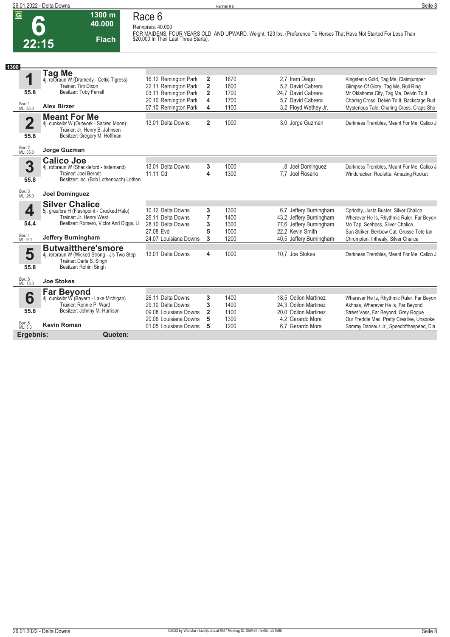**Rennpreis: 40.000**

**6 22:15**

# **Race 6**

**1300 m 40.000** 

**Flach**

**FOR MAIDENS, FOUR YEARS OLD AND UPWARD. Weight, 123 lbs. (Preference To Horses That Have Not Started For Less Than \$20,000 In Their Last Three Starts).** 

| 1300                    |                                                                    |                                              |                              |              |                                                    |                                                                               |
|-------------------------|--------------------------------------------------------------------|----------------------------------------------|------------------------------|--------------|----------------------------------------------------|-------------------------------------------------------------------------------|
| 4                       | <b>Tag Me</b>                                                      |                                              |                              |              |                                                    |                                                                               |
|                         | 4j. rotbraun W (Dramedy - Celtic Tigress)<br>Trainer: Tim Dixon    | 16.12 Remington Park<br>22.11 Remington Park | 2<br>$\overline{\mathbf{2}}$ | 1670<br>1600 | 2.7 Iram Diego<br>5.2 David Cabrera                | Kingsten's Gold, Tag Me, Claimjumper                                          |
| 55.8                    | Besitzer: Toby Ferrell                                             | 03.11 Remington Park                         | $\overline{2}$               | 1700         | 24.7 David Cabrera                                 | Glimpse Of Glory, Tag Me, Bull Ring<br>Mr Oklahoma City, Tag Me, Delvin To It |
|                         |                                                                    | 20.10 Remington Park                         | $\overline{\mathbf{4}}$      | 1700         | 5.7 David Cabrera                                  | Charing Cross, Delvin To It, Backstage Bud                                    |
| Box: 1<br>ML: 35,0      | <b>Alex Birzer</b>                                                 | 07.10 Remington Park                         | 4                            | 1100         | 3.2 Floyd Wethey Jr.                               | Mysterious Tale, Charing Cross, Craps Sho                                     |
|                         | <b>Meant For Me</b>                                                |                                              |                              |              |                                                    |                                                                               |
| $\overline{\mathbf{2}}$ | 4j. dunkelbr W (Outwork - Sacred Moon)                             | 13.01 Delta Downs                            | $\overline{2}$               | 1000         | 3,0 Jorge Guzman                                   | Darkness Trembles, Meant For Me, Calico J                                     |
| 55.8                    | Trainer: Jr. Henry B. Johnson<br>Besitzer: Gregory M. Hoffman      |                                              |                              |              |                                                    |                                                                               |
|                         |                                                                    |                                              |                              |              |                                                    |                                                                               |
| Box: 2<br>ML: 55,0      | Jorge Guzman                                                       |                                              |                              |              |                                                    |                                                                               |
|                         | <b>Calico Joe</b>                                                  |                                              |                              |              |                                                    |                                                                               |
| 3                       | 4j. rotbraun W (Shackleford - Indemand)                            | 13.01 Delta Downs                            | 3                            | 1000         | .8 Joel Dominguez                                  | Darkness Trembles, Meant For Me, Calico J                                     |
| 55.8                    | Trainer: Joel Berndt<br>Besitzer: Inc. (Bob Lothenbach) Lothen     | 11.11 Cd                                     | 4                            | 1300         | 7.7 Joel Rosario                                   | Windcracker, Roulette, Amazing Rocket                                         |
|                         |                                                                    |                                              |                              |              |                                                    |                                                                               |
| Box: 3<br>ML: 26,0      | <b>Joel Dominguez</b>                                              |                                              |                              |              |                                                    |                                                                               |
|                         | <b>Silver Chalice</b>                                              |                                              |                              |              |                                                    |                                                                               |
| 4                       | 5j. grau/bra H (Flashpoint - Crooked Halo)                         | 10.12 Delta Downs                            | 3                            | 1300         | 6,7 Jeffery Burningham                             | Cpriority, Justa Buster, Silver Chalice                                       |
| 54.4                    | Trainer: Jr. Henry West<br>Besitzer: Romero, Victor And Diggs, Li  | 26.11 Delta Downs<br>28.10 Delta Downs       | 7<br>3                       | 1400<br>1300 | 43.2 Jeffery Burningham<br>77,6 Jeffery Burningham | Wherever He Is, Rhythmic Ruler, Far Beyon<br>Mo Tap, Seehoss, Silver Chalice  |
|                         |                                                                    | 27.08 Evd                                    | 5                            | 1000         | 22,2 Kevin Smith                                   | Sun Striker, Benbow Cat, Grosse Tete Ian                                      |
| Box: 4<br>ML: 9.0       | <b>Jeffery Burningham</b>                                          | 24.07 Louisiana Downs                        | 3                            | 1200         | 40.5 Jeffery Burningham                            | Chrompton, Inthealy, Silver Chalice                                           |
|                         | <b>Butwaitthere'smore</b>                                          |                                              |                              |              |                                                    |                                                                               |
| 5                       | 4j. rotbraun W (Wicked Strong - J's Two Step                       | 13.01 Delta Downs                            | 4                            | 1000         | 10.7 Joe Stokes                                    | Darkness Trembles, Meant For Me, Calico J                                     |
| 55.8                    | Trainer: Darla S. Singh<br>Besitzer: Rohini Singh                  |                                              |                              |              |                                                    |                                                                               |
|                         |                                                                    |                                              |                              |              |                                                    |                                                                               |
| Box: 5<br>ML: 13,0      | <b>Joe Stokes</b>                                                  |                                              |                              |              |                                                    |                                                                               |
|                         | <b>Far Beyond</b>                                                  |                                              |                              |              |                                                    |                                                                               |
| 6                       | 4j. dunkelbr W (Bayern - Lake Michigan)<br>Trainer: Ronnie P. Ward | 26.11 Delta Downs                            | 3<br>3                       | 1400<br>1400 | 18.5 Odilon Martinez                               | Wherever He Is, Rhythmic Ruler, Far Beyon                                     |
| 55.8                    | Besitzer: Johnny M. Harrison                                       | 29.10 Delta Downs<br>09.08 Louisiana Downs   | $\overline{2}$               | 1100         | 24.3 Odilon Martinez<br>20.0 Odilon Martinez       | Akhnas, Wherever He Is, Far Beyond<br>Street Voss, Far Beyond, Grey Rogue     |
|                         |                                                                    | 20.06 Louisiana Downs                        | 5                            | 1300         | 4.2 Gerardo Mora                                   | Our Freddie Mac, Pretty Creative, Unspoke                                     |
| Box: 6<br>ML: 5,0       | <b>Kevin Roman</b>                                                 | 01.05 Louisiana Downs                        | 5                            | 1200         | 6.7 Gerardo Mora                                   | Sammy Danseur Jr., Speedofthespeed, Dia                                       |
| Ergebnis:               | Quoten:                                                            |                                              |                              |              |                                                    |                                                                               |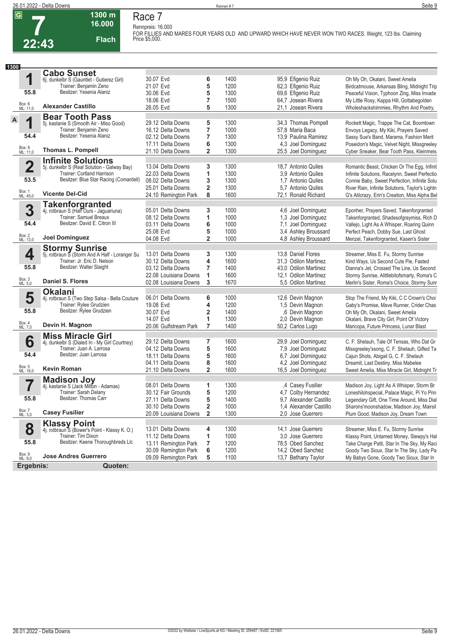## **Race 7 Rennpreis: 16.000**

**1300 m 16.000** 

**Flach**

**FOR FILLIES AND MARES FOUR YEARS OLD AND UPWARD WHICH HAVE NEVER WON TWO RACES. Weight, 123 lbs. Claiming Price \$5,000.** 

| 1300                    |                                                                         |                       |                         |      |                        |                                                 |
|-------------------------|-------------------------------------------------------------------------|-----------------------|-------------------------|------|------------------------|-------------------------------------------------|
|                         | <b>Cabo Sunset</b>                                                      |                       |                         |      |                        |                                                 |
| 1                       | 6j. dunkelbr S (Gauntlet - Gutierez Girl)                               | 30.07 Evd             | 6                       | 1400 | 95,9 Efigenio Ruiz     | Oh My Oh, Okalani, Sweet Amelia                 |
|                         | Trainer: Benjamin Zeno                                                  | 21.07 Evd             | 5                       | 1200 | 62,3 Efigenio Ruiz     | Birdcatmouse, Arkansas Bling, Midnight Trip     |
| 55.8                    | Besitzer: Yesenia Alaniz                                                | 30.06 Evd             | 5                       | 1300 | 69,6 Efigenio Ruiz     | Peaceful Vision, Typhoon Zing, Miss Invade      |
|                         |                                                                         | 18.06 Evd             | 7                       | 1500 | 64,7 Josean Rivera     | My Little Rosy, Kappa Hill, Gottabegolden       |
| Box: 6<br>ML: 11,0      | <b>Alexander Castillo</b>                                               | 26.05 Evd             | 5                       | 1300 | 21,1 Josean Rivera     | Wholeshackshimmies, Rhythm And Poetry,          |
|                         | <b>Bear Tooth Pass</b>                                                  |                       |                         |      |                        |                                                 |
| A<br>4                  | 5j. kastanie S (Smooth Air - Miso Good)                                 | 29.12 Delta Downs     | 5                       | 1300 | 34,3 Thomas Pompell    | Rockett Magic, Trappe The Cat, Boomtown         |
|                         | Trainer: Benjamin Zeno                                                  | 16.12 Delta Downs     | 7                       | 1000 | 57,8 Maria Baca        | Envoys Legacy, My Kiki, Prayers Saved           |
| 54.4                    | Besitzer: Yesenia Alaniz                                                | 02.12 Delta Downs     | 7                       | 1300 | 13.9 Paulina Ramirez   | Sassy Sue's Band, Marama, Fashion Merit         |
|                         |                                                                         | 17.11 Delta Downs     | 6                       | 1300 | 4,3 Joel Dominguez     | Poseidon's Magic, Velvet Night, Missgreeley     |
| Box: 8<br>ML: 11,0      | Thomas L. Pompell                                                       | 21.10 Delta Downs     | $\overline{2}$          | 1300 | 25,5 Joel Dominguez    | Cyber Sneaker, Bear Tooth Pass, Kleinmeis       |
|                         | <b>Infinite Solutions</b>                                               |                       |                         |      |                        |                                                 |
| $\overline{\mathbf{2}}$ | 5j. dunkelbr S (Real Solution - Galway Bay)                             | 13.04 Delta Downs     | 3                       | 1300 | 18.7 Antonio Quiles    | Romantic Beast, Chicken Or The Egg, Infinit     |
|                         | Trainer: Cortland Harrison                                              | 22.03 Delta Downs     | 1                       | 1300 | 3.9 Antonio Quiles     | Infinite Solutions, Racelynn, Sweet Perfectio   |
| 53.5                    | Besitzer: Blue Star Racing (Comardell)                                  | 08.02 Delta Downs     | 3                       | 1300 | 1,7 Antonio Quiles     | Connie Baby, Sweet Perfection, Infinite Solu    |
|                         |                                                                         | 25.01 Delta Downs     | $\overline{\mathbf{2}}$ | 1300 | 5.7 Antonio Quiles     | River Rain, Infinite Solutions, Taylor's Lightn |
| Box: 1<br>ML: 45,0      | <b>Vicente Del-Cid</b>                                                  | 24.10 Remington Park  | 8                       | 1600 | 72,1 Ronald Richard    | G's Alilcrazy, Erin's Creation, Miss Alpha Bel  |
|                         | <b>Takenforgranted</b>                                                  |                       |                         |      |                        |                                                 |
| 3                       | 4j. rotbraun S (Half Ours - Jaguariuna)                                 | 05.01 Delta Downs     | 3                       | 1000 | 4,6 Joel Dominguez     | Eponher, Prayers Saved, Takenforgranted         |
|                         | Trainer: Samuel Breaux                                                  | 08.12 Delta Downs     | 1                       | 1000 | 1,3 Joel Dominguez     | Takenforgranted, Shadesofgraymiss, Rich D       |
| 54.4                    | Besitzer: David E. Citron III                                           | 03.11 Delta Downs     | 6                       | 1000 | 7,1 Joel Dominguez     | Vallejo, Light As A Whisper, Roaring Quinn      |
|                         |                                                                         | 25.08 Evd             | 5                       | 1000 | 3,4 Ashley Broussard   | Perfect Peach, Dobby Sue, Last Ghost            |
| Box: 2<br>ML: 13,0      | <b>Joel Dominguez</b>                                                   | 04.08 Evd             | $\overline{2}$          | 1000 | 4.8 Ashley Broussard   | Menzel, Takenforgranted, Kasen's Sister         |
|                         |                                                                         |                       |                         |      |                        |                                                 |
| 4                       | <b>Stormy Sunrise</b><br>5j. rotbraun S (Storm And A Half - Loranger Su | 13.01 Delta Downs     | 3                       | 1300 | 13,8 Daniel Flores     | Streamer, Miss E. Fu, Stormy Sunrise            |
|                         | Trainer: Jr. Eric D. Nelson                                             | 30.12 Delta Downs     | 4                       | 1600 | 31.3 Odilon Martinez   | Kind Ways, Us Second Cute Pie, Fasted           |
| 55.8                    | Besitzer: Walter Slaight                                                | 03.12 Delta Downs     | 7                       | 1400 | 43,0 Odilon Martinez   | Dianna's Jet, Crossed The Line, Us Second       |
|                         |                                                                         | 22.08 Louisiana Downs | 1                       | 1600 | 12,1 Odilon Martinez   | Stormy Sunrise, Alittlebitofsmarty, Roma's C    |
| Box: 3<br>ML: 5,0       | <b>Daniel S. Flores</b>                                                 | 02.08 Louisiana Downs | 3                       | 1670 | 5.5 Odilon Martinez    | Merlin's Sister, Roma's Choice, Stormy Sunr     |
|                         | <b>Okalani</b>                                                          |                       |                         |      |                        |                                                 |
| 5                       | 4j. rotbraun S (Two Step Salsa - Bella Couture                          | 06.01 Delta Downs     | 6                       | 1000 | 12,6 Devin Magnon      | Stop The Friend, My Kiki, C C Crown's Choi      |
|                         | Trainer: Rylee Grudzien                                                 | 19.08 Evd             | 4                       | 1200 | 1,5 Devin Magnon       | Gaby's Promise, Mave Runner, Crider Chas        |
| 55.8                    | Besitzer: Rylee Grudzien                                                | 30.07 Evd             | 2                       | 1400 | ,6 Devin Magnon        | Oh My Oh, Okalani, Sweet Amelia                 |
|                         |                                                                         | 14.07 Evd             | 1                       | 1300 | 2,0 Devin Magnon       | Okalani, Brave City Girl, Point Of Victory      |
| Box: 4<br>ML: 7,0       | Devin H. Magnon                                                         | 20.06 Gulfstream Park | 7                       | 1400 | 50,2 Carlos Lugo       | Maricopa, Future Princess, Lunar Blast          |
|                         | <b>Miss Miracle Girl</b>                                                |                       |                         |      |                        |                                                 |
| 6                       | 4j. dunkelbr S (Dialed In - My Girl Courtney)                           | 29.12 Delta Downs     | 7                       | 1600 | 29,9 Joel Dominguez    | C. F. Shelauh, Tale Of Tensas, Who Dat Gr       |
|                         | Trainer: Juan A. Larrosa                                                | 04.12 Delta Downs     | 5                       | 1600 | 7,9 Joel Dominguez     | Missgreeley'ssong, C. F. Shelauh, Gifted Ta     |
| 54.4                    | Besitzer: Juan Larrosa                                                  | 18.11 Delta Downs     | 5                       | 1600 | 6,7 Joel Dominguez     | Cajun Shots, Abigail G, C. F. Shelauh           |
|                         |                                                                         | 04.11 Delta Downs     | 8                       | 1600 | 4,2 Joel Dominguez     | Dreamit, Last Destiny, Miss Mabelee             |
| Box: 5<br>ML: 16,0      | Kevin Roman                                                             | 21.10 Delta Downs     | $\overline{\mathbf{2}}$ | 1600 | 16,5 Joel Dominguez    | Sweet Amelia, Miss Miracle Girl, Midnight Tr    |
|                         | <b>Madison Joy</b>                                                      |                       |                         |      |                        |                                                 |
|                         | 4j. kastanie S (Jack Milton - Adamas)                                   | 08.01 Delta Downs     | 1                       | 1300 | ,4 Casey Fusilier      | Madison Joy, Light As A Whisper, Storm Br       |
|                         | Trainer: Sarah Delany                                                   | 30.12 Fair Grounds    | 5                       | 1200 | 4,7 Colby Hernandez    | Loneshilohspecial, Palace Magic, Pi Yo Prin     |
| 55.8                    | Besitzer: Thomas Carr                                                   | 27.11 Delta Downs     | 5                       | 1400 | 9,7 Alexander Castillo | Legendary Gift, One Time Around, Miss Dial      |
|                         |                                                                         | 30.10 Delta Downs     | $\overline{\mathbf{2}}$ | 1000 | 1.4 Alexander Castillo | Sharons'moonshadow, Madison Joy, Mairsil        |
| Box: 7<br>ML: 3,0       | <b>Casey Fusilier</b>                                                   | 20.09 Louisiana Downs | $\mathbf{2}$            | 1300 | 2.0 Jose Guerrero      | Plum Good, Madison Joy, Dream Town              |
|                         | <b>Klassy Point</b>                                                     |                       |                         |      |                        |                                                 |
| 8                       | 4j. rotbraun S (Bower's Point - Klassy K. O.)                           | 13.01 Delta Downs     | 4                       | 1300 | 14,1 Jose Guerrero     | Streamer, Miss E. Fu, Stormy Sunrise            |
|                         | Trainer: Tim Dixon                                                      | 11.12 Delta Downs     | 1                       | 1000 | 3.0 Jose Guerrero      | Klassy Point, Untamed Money, Slewpy's Hal       |
| 55.8                    | Besitzer: Keene Thoroughbreds Llc                                       | 13.11 Remington Park  | 7                       | 1200 | 78,5 Obed Sanchez      | Take Charge Patti, Star In The Sky, My Raci     |
|                         |                                                                         | 30.09 Remington Park  | 6                       | 1200 | 14,2 Obed Sanchez      | Goody Two Sioux, Star In The Sky, Lady Pa       |
| Box: 9<br>ML: 9,0       | <b>Jose Andres Guerrero</b>                                             | 09.09 Remington Park  | 5                       | 1100 | 13,7 Bethany Taylor    | My Babys Gone, Goody Two Sioux, Star In         |
| Ergebnis:               | Quoten:                                                                 |                       |                         |      |                        |                                                 |
|                         |                                                                         |                       |                         |      |                        |                                                 |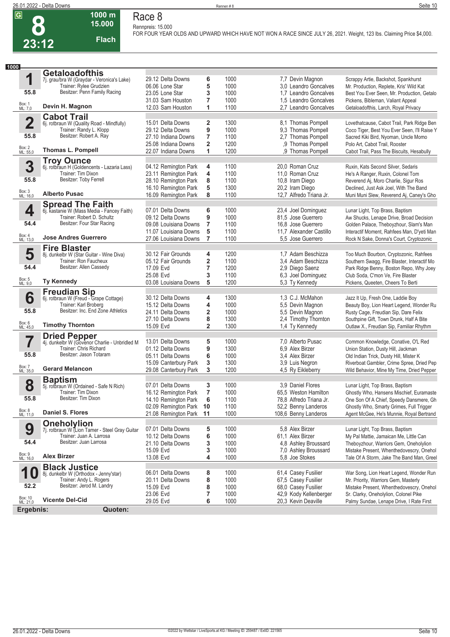**8**

**Race 8 Rennpreis: 15.000**

**15.000 Flach**

**1000 m**

**FOR FOUR YEAR OLDS AND UPWARD WHICH HAVE NOT WON A RACE SINCE JULY 26, 2021. Weight, 123 lbs. Claiming Price \$4,000.** 

| 1000                    |                                                                      |                         |                         |              |                                               |                                              |
|-------------------------|----------------------------------------------------------------------|-------------------------|-------------------------|--------------|-----------------------------------------------|----------------------------------------------|
|                         | <b>Getaloadofthis</b>                                                |                         |                         |              |                                               |                                              |
| 1                       | 7j. grau/bra W (Graydar - Veronica's Lake)                           | 29.12 Delta Downs       | 6                       | 1000         | 7,7 Devin Magnon                              | Scrappy Artie, Backshot, Spankhurst          |
|                         | Trainer: Rylee Grudzien                                              | 06.06 Lone Star         | 5                       | 1000         | 3.0 Leandro Goncalves                         | Mr. Production, Replete, Kris' Wild Kat      |
| 55.8                    | Besitzer: Penn Family Racing                                         | 23.05 Lone Star         | 3                       | 1000         | 1.7 Leandro Goncalves                         | Best You Ever Seen, Mr. Production, Getalo   |
|                         | Devin H. Magnon                                                      | 31.03 Sam Houston       | 7                       | 1000         | 1.5 Leandro Goncalves                         | Pickens, Bibleman, Valiant Appeal            |
| Box: 1<br>ML: 7,0       |                                                                      | 12.03 Sam Houston       | 1                       | 1100         | 2.7 Leandro Goncalves                         | Getaloadofthis, Larch, Royal Privacy         |
|                         | <b>Cabot Trail</b>                                                   |                         |                         |              |                                               |                                              |
| $\overline{\mathbf{2}}$ | 6j. rotbraun W (Quality Road - Mindfully)                            | 15.01 Delta Downs       | 2                       | 1300         | 8,1 Thomas Pompell                            | Lovethatcause, Cabot Trail, Park Ridge Ben   |
|                         | Trainer: Randy L. Klopp<br>Besitzer: Robert A. Ray                   | 29.12 Delta Downs       | 9                       | 1000         | 9,3 Thomas Pompell                            | Coco Tiger, Best You Ever Seen, I'll Raise Y |
| 55.8                    |                                                                      | 27.10 Indiana Downs     | 7                       | 1100         | 2,7 Thomas Pompell                            | Sacred Kiki Bird, Nyoman, Uncle Momo         |
| Box: 2<br>ML: 55,0      | <b>Thomas L. Pompell</b>                                             | 25.08 Indiana Downs     | $\overline{2}$          | 1200         | ,9 Thomas Pompell                             | Polo Art, Cabot Trail, Rooster               |
|                         |                                                                      | 22.07 Indiana Downs     | 1                       | 1200         | .9 Thomas Pompell                             | Cabot Trail, Pass The Biscuits, Hesabully    |
|                         | <b>Troy Ounce</b>                                                    |                         |                         |              |                                               |                                              |
| 3                       | 6j. rotbraun H (Goldencents - Lazaria Lass)                          | 04.12 Remington Park    | 4                       | 1100         | 20,0 Roman Cruz                               | Ruxin, Kats Second Silver, Sedaris           |
|                         | Trainer: Tim Dixon<br>Besitzer: Toby Ferrell                         | 23.11 Remington Park    | 4                       | 1100         | 11,0 Roman Cruz                               | He's A Ranger, Ruxin, Colonel Tom            |
| 55.8                    |                                                                      | 28.10 Remington Park    | 8                       | 1100         | 10,8 Iram Diego                               | Reverend Aj, Moro Charlie, Sigur Ros         |
| Box: 3<br>ML: 16,0      | <b>Alberto Pusac</b>                                                 | 16.10 Remington Park    | 5                       | 1300         | 20,2 Iram Diego                               | Declined, Just Ask Joel, With The Band       |
|                         |                                                                      | 16.09 Remington Park    | 8                       | 1100         | 12,7 Alfredo Triana Jr.                       | Muni Muni Slew, Reverend Aj, Caney's Gho     |
|                         | <b>Spread The Faith</b>                                              |                         |                         |              |                                               |                                              |
| 4                       | 6j. kastanie W (Mass Media - Fancey Faith)                           | 07.01 Delta Downs       | 6                       | 1000         | 23,4 Joel Dominguez                           | Lunar Light, Top Brass, Baptism              |
|                         | Trainer: Robert D. Schultz                                           | 09.12 Delta Downs       | 9                       | 1000         | 81,5 Jose Guerrero                            | Aw Shucks, Lenape Drive, Broad Decision      |
| 54.4                    | Besitzer: Four Star Racing                                           | 09.08 Louisiana Downs   | $\overline{7}$          | 1100         | 16,8 Jose Guerrero                            | Golden Palace, Theboyzhour, Slam's Man       |
|                         |                                                                      | 11.07 Louisiana Downs   | 5                       | 1100         | 11.7 Alexander Castillo                       | Interactif Moment, Rahfees Man, D'yeti Man   |
| Box: 4<br>ML: 13,0      | <b>Jose Andres Guerrero</b>                                          | 27.06 Louisiana Downs   | 7                       | 1100         | 5.5 Jose Guerrero                             | Rock N Sake, Donna's Court, Cryptozonic      |
|                         | <b>Fire Blaster</b>                                                  |                         |                         |              |                                               |                                              |
| 5                       | 8j. dunkelbr W (Star Guitar - Wine Diva)                             | 30.12 Fair Grounds      | 4                       | 1200         | 1,7 Adam Beschizza                            | Too Much Bourbon, Cryptozonic, Rahfees       |
|                         | Trainer: Ron Faucheux                                                | 05.12 Fair Grounds      | 2                       | 1100         | 3.4 Adam Beschizza                            | Southern Swagg, Fire Blaster, Interactif Mo  |
| 54.4                    | Besitzer: Allen Cassedy                                              | 17.09 Evd               | 7                       | 1200         | 2,9 Diego Saenz                               | Park Ridge Benny, Boston Repo, Why Joey      |
|                         |                                                                      | 25.08 Evd               | 3                       | 1100         | 6,3 Joel Dominguez                            | Club Soda, C'mon Ve, Fire Blaster            |
| Box: 5<br>ML: 9,0       | <b>Ty Kennedy</b>                                                    | 03.08 Louisiana Downs   | 5                       | 1200         | 5,3 Ty Kennedy                                | Pickens, Queeten, Cheers To Berti            |
|                         | <b>Freudian Sip</b>                                                  |                         |                         |              |                                               |                                              |
| 6                       | 6j. rotbraun W (Freud - Grape Cottage)                               | 30.12 Delta Downs       | 4                       | 1300         | 1,3 C.J. McMahon                              | Jazz It Up, Fresh One, Laddie Boy            |
|                         | Trainer: Karl Broberg                                                | 15.12 Delta Downs       | 4                       | 1000         | 5,5 Devin Magnon                              | Beauty Boy, Lion Heart Legend, Wonder Ru     |
| 55.8                    | Besitzer: Inc. End Zone Athletics                                    | 24.11 Delta Downs       | 2                       | 1000         | 5,5 Devin Magnon                              | Rusty Cage, Freudian Sip, Dare Felix         |
|                         |                                                                      | 27.10 Delta Downs       | 8                       | 1300         | 2,4 Timothy Thornton                          | Southpine Gift, Town Drunk, Half A Bite      |
| Box: 6<br>ML: 45,0      | <b>Timothy Thornton</b>                                              | 15.09 Evd               | $\overline{\mathbf{2}}$ | 1300         | 1,4 Ty Kennedy                                | Outlaw X., Freudian Sip, Familiar Rhythm     |
|                         | <b>Dried Pepper</b><br>4j. dunkelbr W (Govenor Charlie - Unbridled M |                         |                         |              |                                               |                                              |
| 7                       |                                                                      | 13.01 Delta Downs       | 5                       | 1000         | 7,0 Alberto Pusac                             | Common Knowledge, Conative, O'L Red          |
|                         | Trainer: Chris Richard                                               | 01.12 Delta Downs       | 9                       | 1300         | 6.9 Alex Birzer                               | Union Station, Dusty Hill, Jackman           |
| 55.8                    | Besitzer: Jason Totaram                                              | 05.11 Delta Downs       | 6                       | 1000         | 3,4 Alex Birzer                               | Old Indian Trick, Dusty Hill, Mister K       |
|                         |                                                                      | 15.09 Canterbury Park   | 3                       | 1300         | 3,9 Luis Negron                               | Riverboat Gambler, Crime Spree, Dried Pep    |
| Box: 7<br>ML: 35,0      | <b>Gerard Melancon</b>                                               | 29.08 Canterbury Park   | 3                       | 1200         | 4,5 Ry Eikleberry                             | Wild Behavior, Mine My Time, Dried Pepper    |
|                         | <b>Baptism</b>                                                       |                         |                         |              |                                               |                                              |
| 8                       | 5j. rotbraun W (Ordained - Safe N Rich)                              | 07.01 Delta Downs       | 3                       | 1000         | 3.9 Daniel Flores                             | Lunar Light, Top Brass, Baptism              |
|                         | Trainer: Tim Dixon                                                   | 16.12 Remington Park    | $\overline{7}$          | 1000         | 65,5 Weston Hamilton                          | Ghostly Who, Hansens Mischief, Euramaste     |
| 55.8                    | Besitzer: Tim Dixon                                                  | 14.10 Remington Park    | 6                       | 1100         | 78,8 Alfredo Triana Jr.                       | One Son Of A Chief, Speedy Dansmere, Gh      |
|                         |                                                                      | 02.09 Remington Park 10 |                         | 1100         | 52,2 Benny Landeros                           | Ghostly Who, Smarty Grimes, Full Trigger     |
| Box: 8<br>ML: 11,0      | Daniel S. Flores                                                     | 21.08 Remington Park 11 |                         | 1000         | 108,6 Benny Landeros                          | Agent McGee, He's Munnie, Royal Bertrand     |
|                         | <b>Oneholylion</b>                                                   |                         |                         |              |                                               |                                              |
| 9                       | 7j. rotbraun W (Lion Tamer - Steel Gray Guitar                       | 07.01 Delta Downs       | 5                       | 1000         | 5.8 Alex Birzer                               | Lunar Light, Top Brass, Baptism              |
|                         | Trainer: Juan A. Larrosa                                             | 10.12 Delta Downs       | 6                       | 1000         | 61,1 Alex Birzer                              | My Pal Mattie, Jamaican Me, Little Can       |
| 54.4                    | Besitzer: Juan Larrosa                                               | 21.10 Delta Downs       | 3                       | 1000         | 4,8 Ashley Broussard                          | Theboyzhour, Warriors Gem, Oneholylion       |
|                         |                                                                      | 15.09 Evd               | 3                       | 1000         | 7,0 Ashley Broussard                          | Mistake Present, Whenthedovescry, Onehol     |
| Box: 9<br>ML: 16,0      | <b>Alex Birzer</b>                                                   | 13.08 Evd               | 4                       | 1000         | 5.8 Joe Stokes                                | Tale Of A Storm, Jake The Band Man, Greel    |
|                         | <b>Black Justice</b>                                                 |                         |                         |              |                                               |                                              |
| 1                       | 8j. dunkelbr W (Orthodox - Jenny'star)                               | 06.01 Delta Downs       | 8                       | 1000         | 61,4 Casey Fusilier                           | War Song, Lion Heart Legend, Wonder Run      |
|                         | Trainer: Andy L. Rogers                                              | 20.11 Delta Downs       | 8                       | 1000         | 67,5 Casey Fusilier                           | Mr. Priority, Warriors Gem, Masterly         |
|                         | Besitzer: Jerod M. Landry                                            | 15.09 Evd               | 8                       | 1000         | 68,0 Casey Fusilier                           | Mistake Present, Whenthedovescry, Onehol     |
| 52.2                    |                                                                      |                         |                         |              |                                               |                                              |
| Box: 10<br>ML: 21,0     | <b>Vicente Del-Cid</b>                                               | 23.06 Evd<br>29.05 Evd  | 7<br>6                  | 1000<br>1000 | 42,9 Kody Kellenberger<br>20,3 Kevin Deaville | Sr. Clarky, Oneholylion, Colonel Pike        |